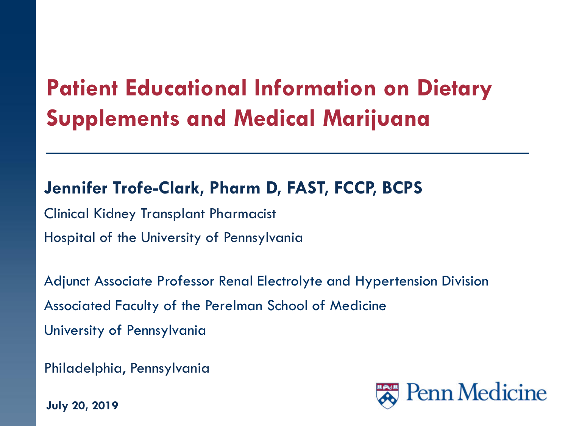### **Patient Educational Information on Dietary Supplements and Medical Marijuana**

#### **Jennifer Trofe-Clark, Pharm D, FAST, FCCP, BCPS**

Clinical Kidney Transplant Pharmacist Hospital of the University of Pennsylvania

Adjunct Associate Professor Renal Electrolyte and Hypertension Division Associated Faculty of the Perelman School of Medicine University of Pennsylvania

Philadelphia, Pennsylvania

**July 20, 2019**

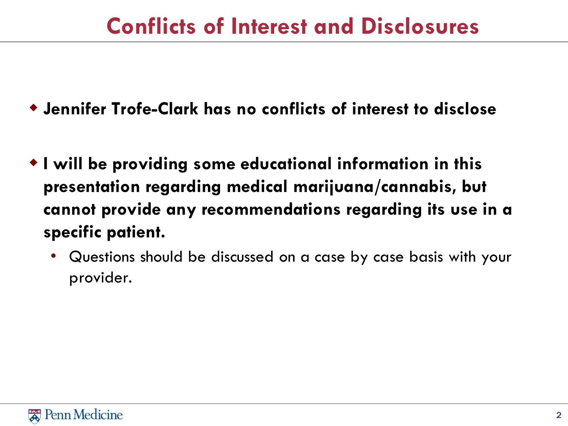#### **Conflicts of Interest and Disclosures**

- **Jennifer Trofe-Clark has no conflicts of interest to disclose**
- **I will be providing some educational information in this presentation regarding medical marijuana/cannabis, but cannot provide any recommendations regarding its use in a specific patient.** 
	- Questions should be discussed on a case by case basis with your provider.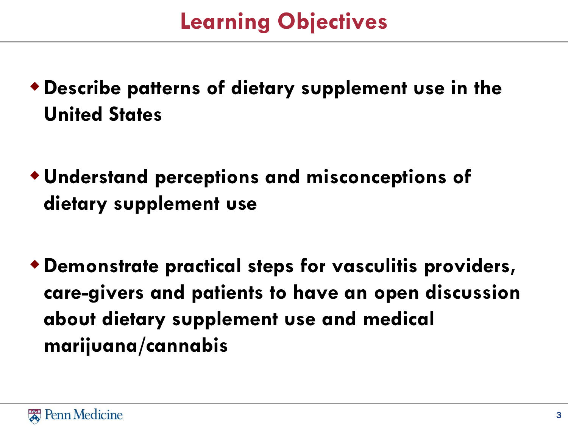#### **Learning Objectives**

- **Describe patterns of dietary supplement use in the United States**
- **Understand perceptions and misconceptions of dietary supplement use**
- **Demonstrate practical steps for vasculitis providers, care-givers and patients to have an open discussion about dietary supplement use and medical marijuana/cannabis**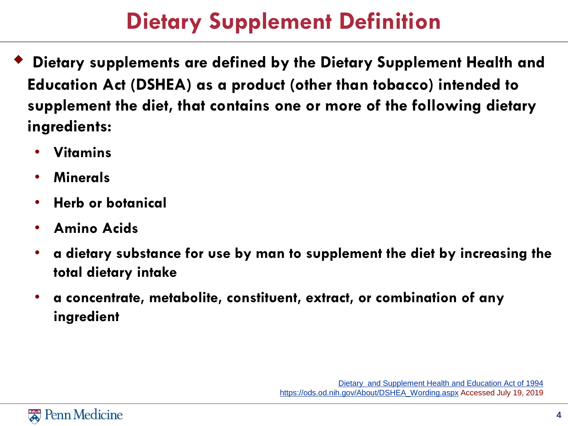### **Dietary Supplement Definition**

- **Dietary supplements are defined by the Dietary Supplement Health and Education Act (DSHEA) as a product (other than tobacco) intended to supplement the diet, that contains one or more of the following dietary ingredients:**
	- **Vitamins**
	- **Minerals**
	- **Herb or botanical**
	- **Amino Acids**
	- **a dietary substance for use by man to supplement the diet by increasing the total dietary intake**
	- **a concentrate, metabolite, constituent, extract, or combination of any ingredient**

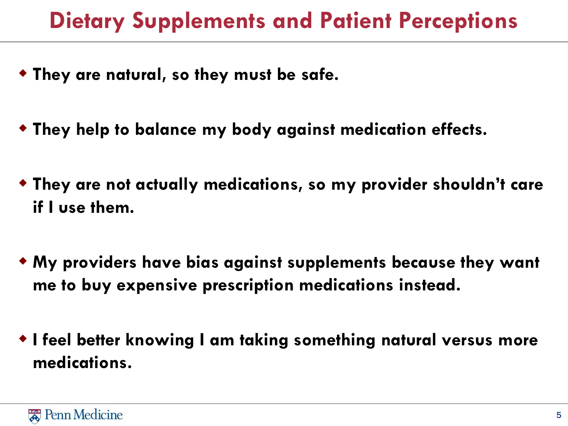#### **Dietary Supplements and Patient Perceptions**

- **They are natural, so they must be safe.**
- **They help to balance my body against medication effects.**
- **They are not actually medications, so my provider shouldn't care if I use them.**
- **My providers have bias against supplements because they want me to buy expensive prescription medications instead.**
- **I feel better knowing I am taking something natural versus more medications.**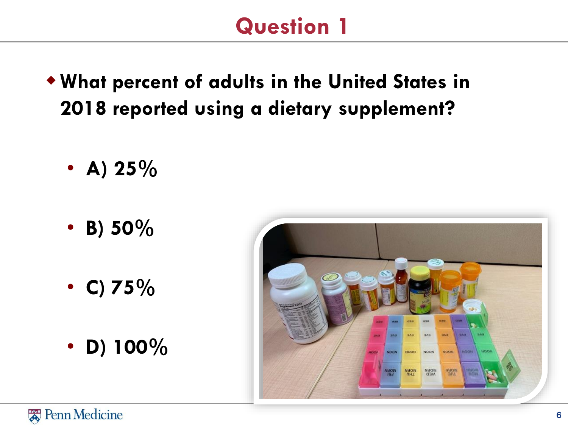#### **Question 1**

- **What percent of adults in the United States in 2018 reported using a dietary supplement?** 
	- A)  $25\%$
	- **B) 50%**
	- **C) 75%**
	- **D) 100%**

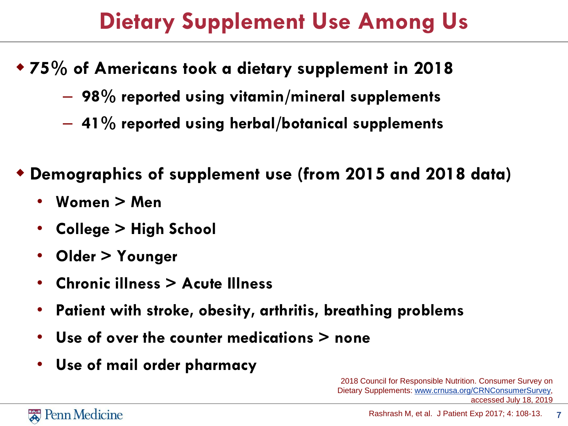#### **Dietary Supplement Use Among Us**

- **75% of Americans took a dietary supplement in 2018** 
	- **98% reported using vitamin/mineral supplements**
	- **41% reported using herbal/botanical supplements**
- **Demographics of supplement use (from 2015 and 2018 data)**
	- **Women > Men**
	- **College > High School**
	- **Older > Younger**
	- **Chronic illness > Acute Illness**
	- **Patient with stroke, obesity, arthritis, breathing problems**
	- **Use of over the counter medications > none**
	- **Use of mail order pharmacy**

2018 Council for Responsible Nutrition. Consumer Survey on Dietary Supplements: [www.crnusa.org/CRNConsumerSurvey](http://www.crnusa.org/CRNConsumerSurvey), accessed July 18, 2019

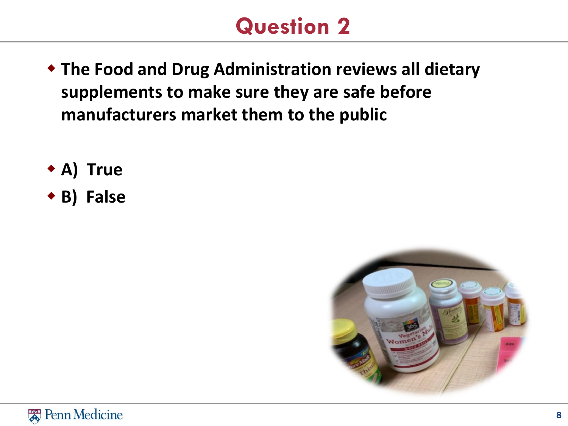#### **Question 2**

- **The Food and Drug Administration reviews all dietary supplements to make sure they are safe before manufacturers market them to the public**
- **A) True**
- **B) False**



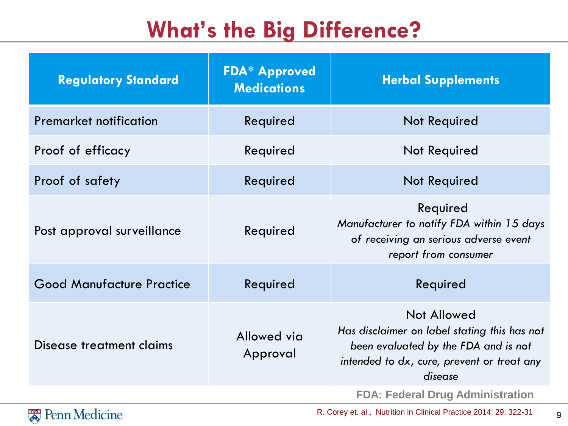### **What's the Big Difference?**

| <b>Regulatory Standard</b>       | <b>FDA* Approved</b><br><b>Medications</b> | <b>Herbal Supplements</b>                                                                                                                                    |
|----------------------------------|--------------------------------------------|--------------------------------------------------------------------------------------------------------------------------------------------------------------|
| <b>Premarket notification</b>    | Required                                   | Not Required                                                                                                                                                 |
| Proof of efficacy                | Required                                   | Not Required                                                                                                                                                 |
| Proof of safety                  | Required                                   | <b>Not Required</b>                                                                                                                                          |
| Post approval surveillance       | Required                                   | Required<br>Manufacturer to notify FDA within 15 days<br>of receiving an serious adverse event<br>report from consumer                                       |
| <b>Good Manufacture Practice</b> | Required                                   | Required                                                                                                                                                     |
| Disease treatment claims         | Allowed via<br>Approval                    | Not Allowed<br>Has disclaimer on label stating this has not<br>been evaluated by the FDA and is not<br>intended to dx, cure, prevent or treat any<br>disease |
|                                  |                                            | <b>FDA: Federal Drug Administration</b>                                                                                                                      |



R. Corey et. al., Nutrition in Clinical Practice 2014; 29: 322-31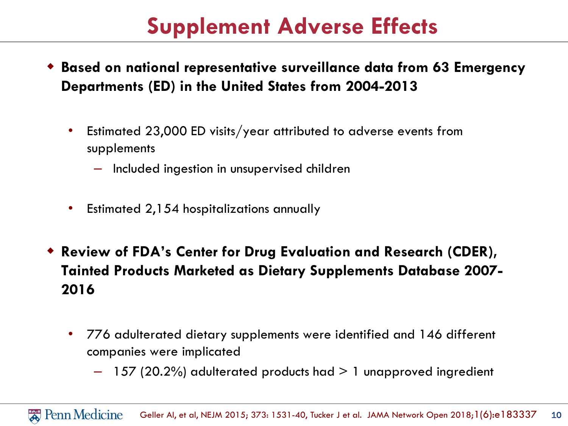#### **Supplement Adverse Effects**

- **Based on national representative surveillance data from 63 Emergency Departments (ED) in the United States from 2004-2013**
	- Estimated 23,000 ED visits/year attributed to adverse events from supplements
		- Included ingestion in unsupervised children
	- Estimated 2,154 hospitalizations annually
- **Review of FDA's Center for Drug Evaluation and Research (CDER), Tainted Products Marketed as Dietary Supplements Database 2007- 2016**
	- 776 adulterated dietary supplements were identified and 146 different companies were implicated
		- $-$  157 (20.2%) adulterated products had  $> 1$  unapproved ingredient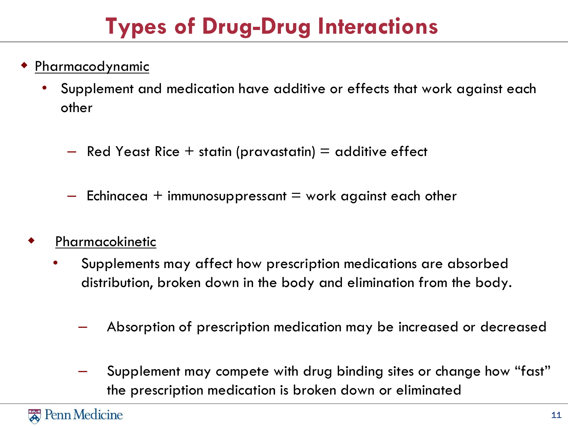## **Types of Drug-Drug Interactions**

- Pharmacodynamic
	- Supplement and medication have additive or effects that work against each other
		- $-$  Red Yeast Rice  $+$  statin (pravastatin)  $=$  additive effect
		- $-$  Echinacea + immunosuppressant  $=$  work against each other
	- Pharmacokinetic
		- Supplements may affect how prescription medications are absorbed distribution, broken down in the body and elimination from the body.
			- Absorption of prescription medication may be increased or decreased
			- Supplement may compete with drug binding sites or change how "fast" the prescription medication is broken down or eliminated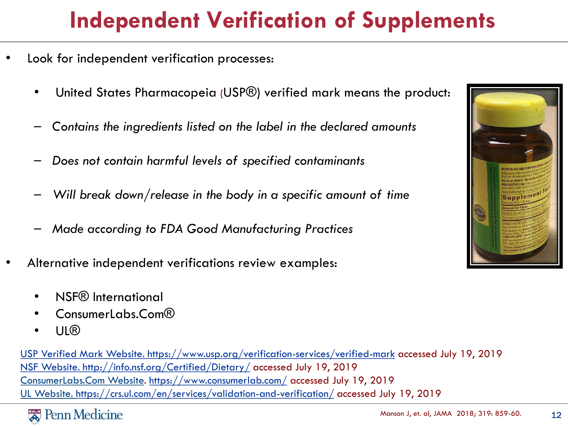## **Independent Verification of Supplements**

- Look for independent verification processes:
	- United States Pharmacopeia (USP®) verified mark means the product:
	- *Contains the ingredients listed on the label in the declared amounts*
	- *Does not contain harmful levels of specified contaminants*
	- *Will break down/release in the body in a specific amount of time*
	- *Made according to FDA Good Manufacturing Practices*
- Alternative independent verifications review examples:
	- NSF® International
	- ConsumerLabs.Com®
	- UL®

[USP Verified Mark Website. https://www.usp.org/verification-services/verified-mark](https://www.usp.org/verification-services/verified-mark) accessed July 19, 2019 [NSF Website. http://info.nsf.org/Certified/Dietary/](http://info.nsf.org/Certified/Dietary/) accessed July 19, 2019 ConsumerLabs.Com Website.<https://www.consumerlab.com/> accessed July 19, 2019 UL Website.<https://crs.ul.com/en/services/validation-and-verification/> accessed July 19, 2019



12

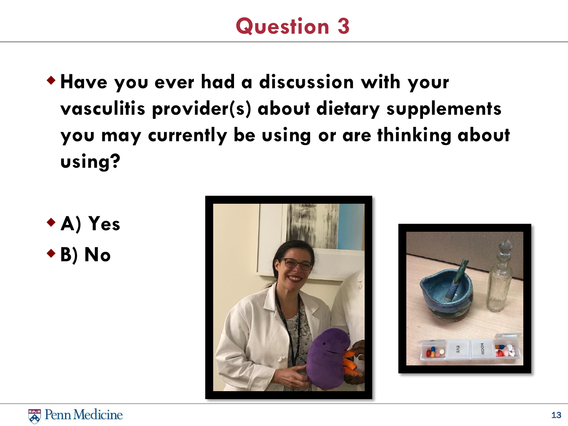#### **Question 3**

- **Have you ever had a discussion with your vasculitis provider(s) about dietary supplements you may currently be using or are thinking about using?**
- **A) Yes B) No**





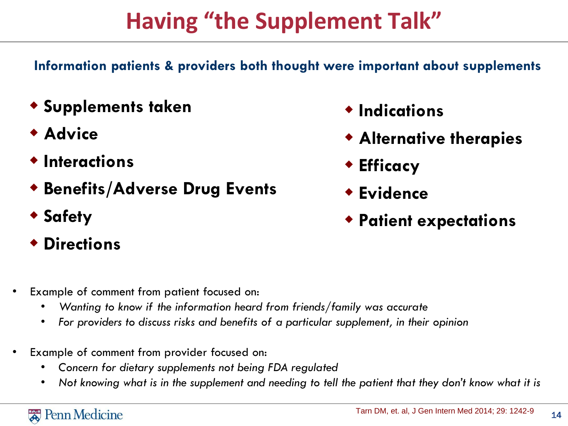## **Having "the Supplement Talk"**

**Information patients & providers both thought were important about supplements**

- **Supplements taken**
- **Advice**
- **Interactions**
- **Benefits/Adverse Drug Events**
- **Safety**
- **Directions**
- Example of comment from patient focused on:
	- *Wanting to know if the information heard from friends/family was accurate*
	- *For providers to discuss risks and benefits of a particular supplement, in their opinion*
- Example of comment from provider focused on:
	- *Concern for dietary supplements not being FDA regulated*
	- *Not knowing what is in the supplement and needing to tell the patient that they don't know what it is*
- **Indications**
- **Alternative therapies**
- **Efficacy**
- **Evidence**
- **Patient expectations**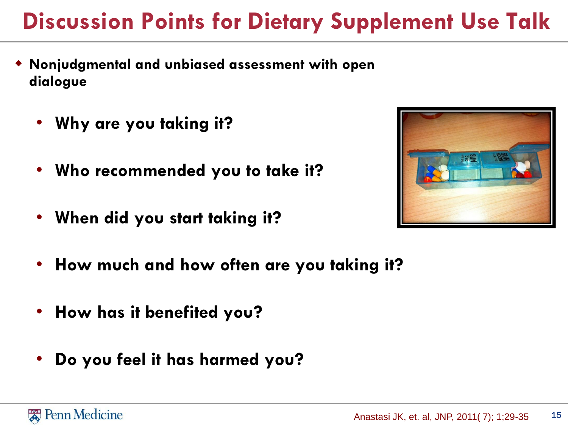### **Discussion Points for Dietary Supplement Use Talk**

- **Nonjudgmental and unbiased assessment with open dialogue**
	- **Why are you taking it?**
	- **Who recommended you to take it?**
	- **When did you start taking it?**



- **How much and how often are you taking it?**
- **How has it benefited you?**
- **Do you feel it has harmed you?**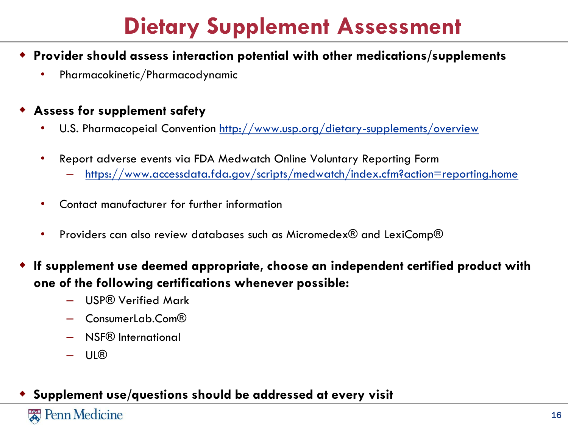#### **Dietary Supplement Assessment**

#### **Provider should assess interaction potential with other medications/supplements**

• Pharmacokinetic/Pharmacodynamic

#### **Assess for supplement safety**

- U.S. Pharmacopeial Convention<http://www.usp.org/dietary-supplements/overview>
- Report adverse events via FDA Medwatch Online Voluntary Reporting Form
	- <https://www.accessdata.fda.gov/scripts/medwatch/index.cfm?action=reporting.home>
- Contact manufacturer for further information
- Providers can also review databases such as Micromedex® and LexiComp®
- **If supplement use deemed appropriate, choose an independent certified product with one of the following certifications whenever possible:**
	- USP® Verified Mark
	- ConsumerLab.Com®
	- NSF® International
	- UL®

#### **Supplement use/questions should be addressed at every visit**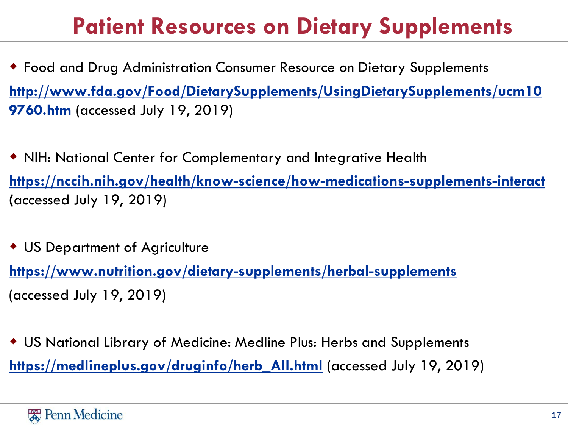### **Patient Resources on Dietary Supplements**

- Food and Drug Administration Consumer Resource on Dietary Supplements **[http://www.fda.gov/Food/DietarySupplements/UsingDietarySupplements/ucm10](http://www.fda.gov/Food/DietarySupplements/UsingDietarySupplements/ucm109760.htm) 9760.htm** (accessed July 19, 2019)
- NIH: National Center for Complementary and Integrative Health **<https://nccih.nih.gov/health/know-science/how-medications-supplements-interact> (**accessed July 19, 2019)
- US Department of Agriculture

**<https://www.nutrition.gov/dietary-supplements/herbal-supplements>** (accessed July 19, 2019)

 US National Library of Medicine: Medline Plus: Herbs and Supplements **[https://medlineplus.gov/druginfo/herb\\_All.html](https://medlineplus.gov/druginfo/herb_All.html)** (accessed July 19, 2019)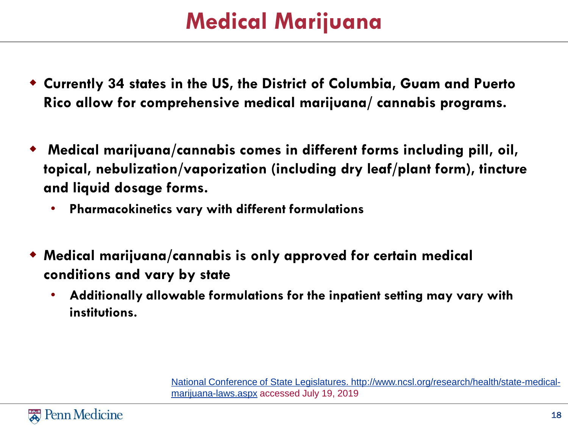### **Medical Marijuana**

- **Currently 34 states in the US, the District of Columbia, Guam and Puerto Rico allow for comprehensive medical marijuana/ cannabis programs.**
- **Medical marijuana/cannabis comes in different forms including pill, oil, topical, nebulization/vaporization (including dry leaf/plant form), tincture and liquid dosage forms.** 
	- **Pharmacokinetics vary with different formulations**
- **Medical marijuana/cannabis is only approved for certain medical conditions and vary by state**
	- **Additionally allowable formulations for the inpatient setting may vary with institutions.**

[National Conference of State Legislatures. http://www.ncsl.org/research/health/state-medical](http://www.ncsl.org/research/health/state-medical-marijuana-laws.aspx)marijuana-laws.aspx accessed July 19, 2019

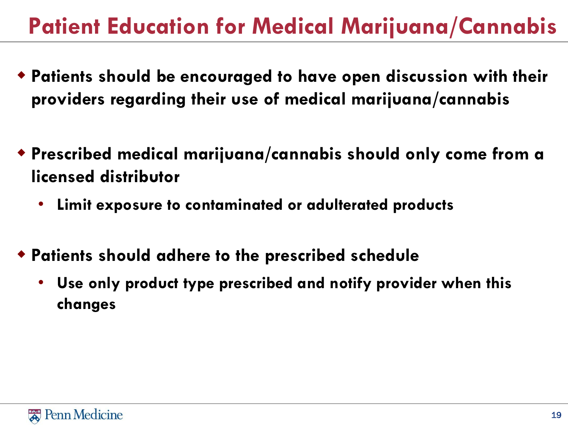### **Patient Education for Medical Marijuana/Cannabis**

- **Patients should be encouraged to have open discussion with their providers regarding their use of medical marijuana/cannabis**
- **Prescribed medical marijuana/cannabis should only come from a licensed distributor**
	- **Limit exposure to contaminated or adulterated products**
- **Patients should adhere to the prescribed schedule** 
	- **Use only product type prescribed and notify provider when this changes**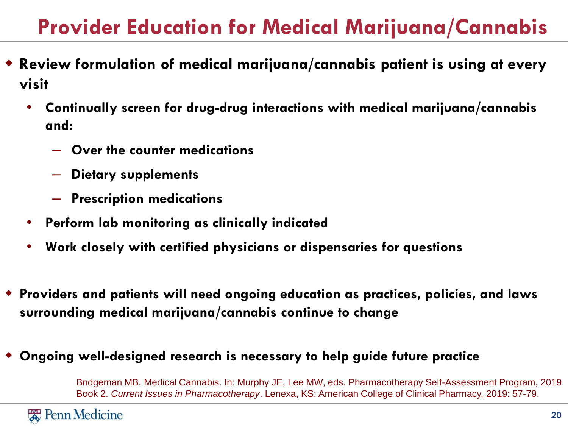#### **Provider Education for Medical Marijuana/Cannabis**

- **Review formulation of medical marijuana/cannabis patient is using at every visit**
	- **Continually screen for drug-drug interactions with medical marijuana/cannabis and:**
		- **Over the counter medications**
		- **Dietary supplements**
		- **Prescription medications**
	- **Perform lab monitoring as clinically indicated**
	- **Work closely with certified physicians or dispensaries for questions**
- **Providers and patients will need ongoing education as practices, policies, and laws surrounding medical marijuana/cannabis continue to change**
- **Ongoing well-designed research is necessary to help guide future practice**

Bridgeman MB. Medical Cannabis. In: Murphy JE, Lee MW, eds. Pharmacotherapy Self-Assessment Program, 2019 Book 2. *Current Issues in Pharmacotherapy*. Lenexa, KS: American College of Clinical Pharmacy, 2019: 57-79.

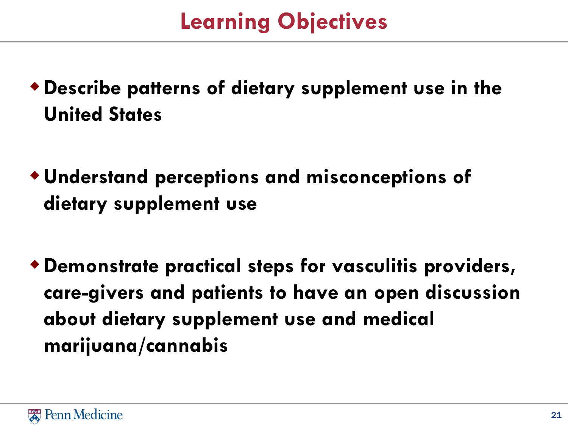#### **Learning Objectives**

- **Describe patterns of dietary supplement use in the United States**
- **Understand perceptions and misconceptions of dietary supplement use**
- **Demonstrate practical steps for vasculitis providers, care-givers and patients to have an open discussion about dietary supplement use and medical marijuana/cannabis**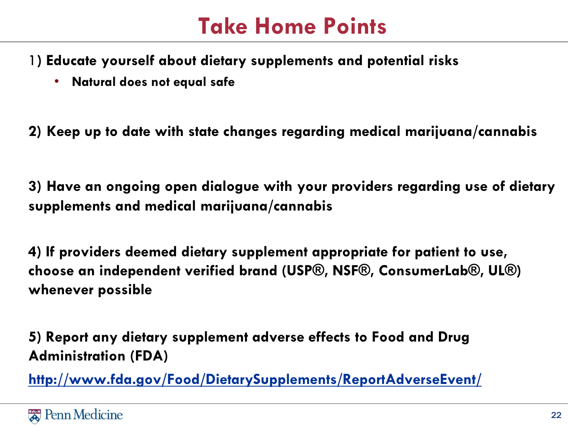#### **Take Home Points**

- 1**) Educate yourself about dietary supplements and potential risks**
	- **Natural does not equal safe**

**2) Keep up to date with state changes regarding medical marijuana/cannabis**

**3) Have an ongoing open dialogue with your providers regarding use of dietary supplements and medical marijuana/cannabis**

**4) If providers deemed dietary supplement appropriate for patient to use, choose an independent verified brand (USP®, NSF®, ConsumerLab®, UL®) whenever possible**

**5) Report any dietary supplement adverse effects to Food and Drug Administration (FDA)**

**<http://www.fda.gov/Food/DietarySupplements/ReportAdverseEvent/>**